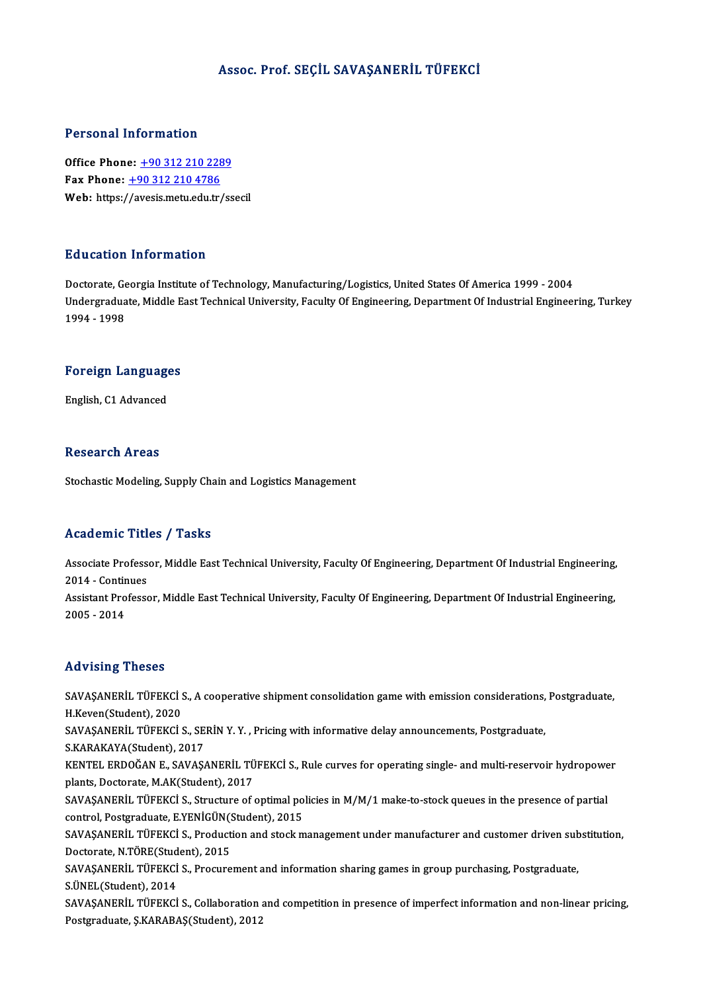#### Assoc. Prof. SEÇİL SAVAŞANERİL TÜFEKCİ

#### Personal Information

**Personal Information<br>Office Phone: +90 312 210 2289<br>Fax Phone: +90 312 210 4796** Fax Phone: <u>+90 312 210 228</u><br>Fax Phone: <u>+90 312 210 228</u><br>Web: https://ayosis.mety.edu.tr Fax Phone:  $\pm$ 90 312 210 4786<br>Web: https:/[/avesis.metu.edu.tr](tel:+90 312 210 4786)[/ss](tel:+90 312 210 2289)ecil

#### Education Information

Doctorate, Georgia Institute of Technology, Manufacturing/Logistics, United States Of America 1999 - 2004 Du d'oderon Throf Inderon<br>Doctorate, Georgia Institute of Technology, Manufacturing/Logistics, United States Of America 1999 - 2004<br>Undergraduate, Middle East Technical University, Faculty Of Engineering, Department Of Ind Doctorate, Ge<br>Undergradua<br>1994 - 1998

# 1994 - 1998<br>Foreign Languages F<mark>oreign Languag</mark>e<br>English, C1 Advanced

English, C1 Advanced<br>Research Areas

Stochastic Modeling, Supply Chain and Logistics Management

#### Academic Titles / Tasks

Academic Titles / Tasks<br>Associate Professor, Middle East Technical University, Faculty Of Engineering, Department Of Industrial Engineering,<br>2014 - Continues Associate Profess<br>2014 - Continues<br>Assistant Professe Associate Professor, Middle East Technical University, Faculty Of Engineering, Department Of Industrial Engineering,<br>2014 - Continues<br>Assistant Professor, Middle East Technical University, Faculty Of Engineering, Departmen 2014 - Continues<br>Assistant Professor, Middle East Technical University, Faculty Of Engineering, Department Of Industrial Engineering,<br>2005 - 2014

#### Advising Theses

Advising Theses<br>SAVAŞANERİL TÜFEKCİ S., A cooperative shipment consolidation game with emission considerations, Postgraduate,<br>H.Kayan(Student), 2020 TER FISHING THUBUS<br>SAVAŞANERİL TÜFEKCİ :<br>H.Keven(Student), 2020<br>SAVASANERİL TÜREKCİ : SAVAŞANERİL TÜFEKCİ S., A cooperative shipment consolidation game with emission considerations,<br>H.Keven(Student), 2020<br>SAVAŞANERİL TÜFEKCİ S., SERİN Y. Y. , Pricing with informative delay announcements, Postgraduate,<br>S.KAR H.Keven(Student), 2020<br>SAVAŞANERİL TÜFEKCİ S., SERİN Y. Y. , Pricing with informative delay announcements, Postgraduate,<br>S.KARAKAYA(Student), 2017 SAVAŞANERİL TÜFEKCİ S., SERİN Y. Y. , Pricing with informative delay announcements, Postgraduate,<br>S.KARAKAYA(Student), 2017<br>KENTEL ERDOĞAN E., SAVAŞANERİL TÜFEKCİ S., Rule curves for operating single- and multi-reservoir h S.KARAKAYA(Student), 2017<br>KENTEL ERDOĞAN E., SAVAŞANERİL TÜ<br>plants, Doctorate, M.AK(Student), 2017<br>SAVASANERİL TÜEEKÇİ S. Strugtura of KENTEL ERDOĞAN E., SAVAŞANERİL TÜFEKCİ S., Rule curves for operating single- and multi-reservoir hydropowe<br>plants, Doctorate, M.AK(Student), 2017<br>SAVAŞANERİL TÜFEKCİ S., Structure of optimal policies in M/M/1 make-to-stock plants, Doctorate, M.AK(Student), 2017<br>SAVAŞANERİL TÜFEKCİ S., Structure of optimal policies in M/M/1 make-to-stock queues in the presence of partial<br>control, Postgraduate, E.YENİGÜN(Student), 2015 SAVAŞANERİL TÜFEKCİ S., Structure of optimal policies in M/M/1 make-to-stock queues in the presence of partial<br>control, Postgraduate, E.YENİGÜN(Student), 2015<br>SAVAŞANERİL TÜFEKCİ S., Production and stock management under m control, Postgraduate, E.YENİGÜN(S<br>SAVAŞANERİL TÜFEKCİ S., Product<br>Doctorate, N.TÖRE(Student), 2015<br>SAVASANERİL TÜEEKCİ S. Progune SAVAŞANERİL TÜFEKCİ S., Production and stock management under manufacturer and customer driven sub<br>Doctorate, N.TÖRE(Student), 2015<br>SAVAŞANERİL TÜFEKCİ S., Procurement and information sharing games in group purchasing, Pos Doctorate, N.TÖRE(Student), 2015<br>SAVAŞANERİL TÜFEKCİ S., Procurement and information sharing games in group purchasing, Postgraduate,<br>S.ÜNEL(Student), 2014 SAVAŞANERİL TÜFEKCİ S., Collaboration and competition in presence of imperfect information and non-linear pricing, Postgraduate,Ş.KARABAŞ(Student),2012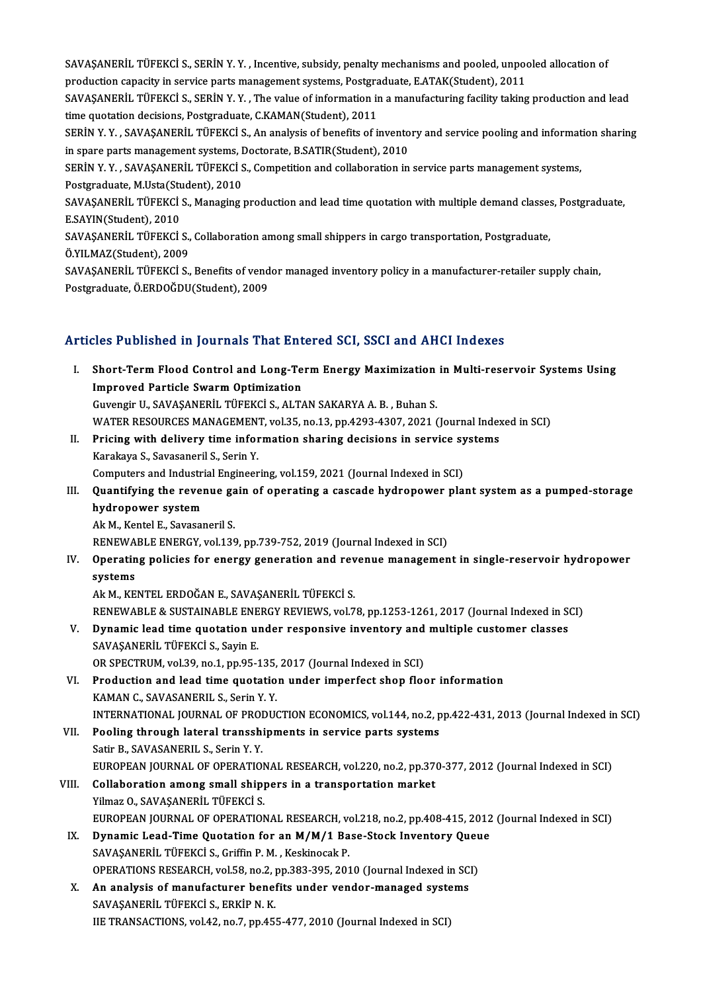SAVAŞANERİL TÜFEKCİ S., SERİN Y. Y. , Incentive, subsidy, penalty mechanisms and pooled, unpooled allocation of<br>Production canasity in servise parts manasament systems Pestaraduate F.ATAK(Student), 2011. SAVAŞANERİL TÜFEKCİ S., SERİN Y. Y. , Incentive, subsidy, penalty mechanisms and pooled, unpoor<br>production capacity in service parts management systems, Postgraduate, E.ATAK(Student), 2011<br>SAVASANERİL TÜEEKÇİ S. SERİN V. V SAVAŞANERİL TÜFEKCİ S., SERİN Y. Y. , Incentive, subsidy, penalty mechanisms and pooled, unpooled allocation of<br>production capacity in service parts management systems, Postgraduate, E.ATAK(Student), 2011<br>SAVAŞANERİL TÜFEK production capacity in service parts management systems, Postgraduate, E.ATAK(Student), 2011<br>SAVAŞANERİL TÜFEKCİ S., SERİN Y. Y. , The value of information in a manufacturing facility taking production and lead<br>time quotat SAVAŞANERİL TÜFEKCİ S., SERİN Y. Y. , The value of information in a manufacturing facility taking production and lead<br>time quotation decisions, Postgraduate, C.KAMAN(Student), 2011<br>SERİN Y. Y. , SAVAŞANERİL TÜFEKCİ S., An time quotation decisions, Postgraduate, C.KAMAN(Student), 2011<br>SERİN Y. Y. , SAVAŞANERİL TÜFEKCİ S., An analysis of benefits of invento<br>in spare parts management systems, Doctorate, B.SATIR(Student), 2010<br>SERİN Y. Y., SAVA SERİN Y. Y. , SAVAŞANERİL TÜFEKCİ S., An analysis of benefits of inventory and service pooling and informat<br>in spare parts management systems, Doctorate, B.SATIR(Student), 2010<br>SERİN Y. Y. , SAVAŞANERİL TÜFEKCİ S., Competi in spare parts management systems, I<br>SERİN Y. Y. , SAVAŞANERİL TÜFEKCİ S<br>Postgraduate, M.Usta(Student), 2010<br>SAVASANERİL TÜEEKCİ S. Managina ı SERİN Y. Y. , SAVAŞANERİL TÜFEKCİ S., Competition and collaboration in service parts management systems,<br>Postgraduate, M.Usta(Student), 2010<br>SAVAŞANERİL TÜFEKCİ S., Managing production and lead time quotation with multiple Postgraduate, M.Usta(Stu<br>SAVAŞANERİL TÜFEKCİ<br>E.SAYIN(Student), 2010<br>SAVASANERİL TÜREKCİ SAVAŞANERİL TÜFEKCİ S., Managing production and lead time quotation with multiple demand classe:<br>E.SAYIN(Student), 2010<br>SAVAŞANERİL TÜFEKCİ S., Collaboration among small shippers in cargo transportation, Postgraduate,<br>Ö.VI E.SAYIN(Student), 2010<br>SAVAŞANERİL TÜFEKCİ S., Collaboration among small shippers in cargo transportation, Postgraduate,<br>Ö.YILMAZ(Student), 2009 SAVAŞANERİL TÜFEKCİ S., Benefits of vendor managed inventory policy in a manufacturer-retailer supply chain, Postgraduate,Ö.ERDOĞDU(Student),2009

## Articles Published in Journals That Entered SCI, SSCI and AHCI Indexes

- rticles Published in Journals That Entered SCI, SSCI and AHCI Indexes<br>I. Short-Term Flood Control and Long-Term Energy Maximization in Multi-reservoir Systems Using<br>Improved Particle System Optimization Short-Term Flood Control and Long-Te<br>Improved Particle Swarm Optimization<br>Cuvensir II, SAVASANEPH, TÜREKÇİ S. ALT/ Short-Term Flood Control and Long-Term Energy Maximization<br>Improved Particle Swarm Optimization<br>Guvengir U., SAVAŞANERİL TÜFEKCİ S., ALTAN SAKARYA A. B. , Buhan S.<br>WATER RESOURCES MANACEMENT, vol 25. no.12. nn.4293,4307,20 Improved Particle Swarm Optimization<br>Guvengir U., SAVAŞANERİL TÜFEKCİ S., ALTAN SAKARYA A. B. , Buhan S.<br>WATER RESOURCES MANAGEMENT, vol.35, no.13, pp.4293-4307, 2021 (Journal Indexed in SCI) Guvengir U., SAVAŞANERİL TÜFEKCİ S., ALTAN SAKARYA A. B. , Buhan S.<br>WATER RESOURCES MANAGEMENT, vol.35, no.13, pp.4293-4307, 2021 (Journal Index<br>II. Pricing with delivery time information sharing decisions in service syste WATER RESOURCES MANAGEMEN<br>Pricing with delivery time infor<br>Karakaya S., Savasaneril S., Serin Y.<br>Computers and Industrial Engineer
- Pricing with delivery time information sharing decisions in service sy<br>Karakaya S., Savasaneril S., Serin Y.<br>Computers and Industrial Engineering, vol.159, 2021 (Journal Indexed in SCI)<br>Quantifying the revenue gain of ener Karakaya S., Savasaneril S., Serin Y.<br>Computers and Industrial Engineering, vol.159, 2021 (Journal Indexed in SCI)<br>III. Quantifying the revenue gain of operating a cascade hydropower plant system as a pumped-storage<br>bydrop
- Computers and Industri<br>Quantifying the rever<br>hydropower system<br>Alt M. Kontel E. Savasan Quantifying the revenue ga<br>hydropower system<br>Ak M., Kentel E., Savasaneril S.<br>PENEWAPLE ENEDCY vol 120

h**ydropower system**<br>Ak M., Kentel E., Savasaneril S.<br>RENEWABLE ENERGY, vol.139, pp.739-752, 2019 (Journal Indexed in SCI)

Ak M., Kentel E., Savasaneril S.<br>RENEWABLE ENERGY, vol.139, pp.739-752, 2019 (Journal Indexed in SCI)<br>IV. Operating policies for energy generation and revenue management in single-reservoir hydropower<br>systems RENEWA<br>Operatin<br>systems Operating policies for energy generation and rev<br>systems<br>Ak M., KENTEL ERDOĞAN E., SAVAŞANERİL TÜFEKCİ S.<br>PENEWARLE & SUSTAINARLE ENERCY REVIEWS vol 7

systems<br>Ak M., KENTEL ERDOĞAN E., SAVAŞANERİL TÜFEKCİ S.<br>RENEWABLE & SUSTAINABLE ENERGY REVIEWS, vol.78, pp.1253-1261, 2017 (Journal Indexed in SCI)<br>Dunamis laad time sustation under responsive inventary and multiple susta Ak M., KENTEL ERDOĞAN E., SAVAŞANERİL TÜFEKCİ S.<br>RENEWABLE & SUSTAINABLE ENERGY REVIEWS, vol.78, pp.1253-1261, 2017 (Journal Indexed in St.<br>V. Dynamic lead time quotation under responsive inventory and multiple customer cl

# V. Dynamic lead time quotation under responsive inventory and multiple customer classes<br>SAVAŞANERİL TÜFEKCİ S., Sayin E. Dynamic lead time quotation under responsive inventory and<br>SAVAŞANERİL TÜFEKCİ S., Sayin E.<br>OR SPECTRUM, vol.39, no.1, pp.95-135, 2017 (Journal Indexed in SCI)<br>Production and load time quotation under imperfect shap flag

- VI. Production and lead time quotation under imperfect shop floor information KAMAN C., SAVASANERIL S., Serin Y.Y. OR SPECTRUM, vol.39, no.1, pp.95-135,<br>Production and lead time quotatio<br>KAMAN C., SAVASANERIL S., Serin Y. Y.<br>INTERNATIONAL JOURNAL OF PRODUC Production and lead time quotation under imperfect shop floor information<br>KAMAN C., SAVASANERIL S., Serin Y. Y.<br>INTERNATIONAL JOURNAL OF PRODUCTION ECONOMICS, vol.144, no.2, pp.422-431, 2013 (Journal Indexed in SCI)<br>Poolin KAMAN C., SAVASANERIL S., Serin Y. Y.<br>INTERNATIONAL JOURNAL OF PRODUCTION ECONOMICS, vol.144, no.2, p<br>VII. Pooling through lateral transshipments in service parts systems<br>Setir B. SAVASANERIL S. Serin Y. Y.
- INTERNATIONAL JOURNAL OF PROI<br>Pooling through lateral transshi<br>Satir B., SAVASANERIL S., Serin Y. Y.<br>FUROPEAN JOURNAL OF OPERATION Pooling through lateral transshipments in service parts systems<br>Satir B., SAVASANERIL S., Serin Y. Y.<br>EUROPEAN JOURNAL OF OPERATIONAL RESEARCH, vol.220, no.2, pp.370-377, 2012 (Journal Indexed in SCI)<br>Collaboration among s Satir B., SAVASANERIL S., Serin Y. Y.<br>EUROPEAN JOURNAL OF OPERATIONAL RESEARCH, vol.220, no.2, pp.37<br>VIII. Collaboration among small shippers in a transportation market<br>Vilmar O. SAVASANERIL TÜREVCLS EUROPEAN JOURNAL OF OPERATION<br>Collaboration among small ship<br>Yilmaz O., SAVAŞANERİL TÜFEKCİ S.<br>FUROPEAN JOURNAL OF OPERATION Collaboration among small shippers in a transportation market<br>Yilmaz O., SAVAŞANERİL TÜFEKCİ S.<br>EUROPEAN JOURNAL OF OPERATIONAL RESEARCH, vol.218, no.2, pp.408-415, 2012 (Journal Indexed in SCI)<br>Dunamis Lood Time Quetation
	-
- Yilmaz O., SAVAŞANERİL TÜFEKCİ S.<br>EUROPEAN JOURNAL OF OPERATIONAL RESEARCH, vol.218, no.2, pp.408-415, 2012<br>IX. Dynamic Lead-Time Quotation for an M/M/1 Base-Stock Inventory Queue<br>SAVASANERİL TÜEEKCİ S. Criffin B.M. Koskin EUROPEAN JOURNAL OF OPERATIONAL RESEARCH, volument Lead-Time Quotation for an M/M/1 Ba<br>SAVAŞANERİL TÜFEKCİ S., Griffin P.M. , Keskinocak P.<br>OPERATIONS RESEARCH .vol 59. no. 2. nn 292.205.205. IX. Dynamic Lead-Time Quotation for an M/M/1 Base-Stock Inventory Queue<br>SAVAŞANERİL TÜFEKCİ S., Griffin P. M., Keskinocak P.<br>OPERATIONS RESEARCH, vol.58, no.2, pp.383-395, 2010 (Journal Indexed in SCI) SAVAŞANERİL TÜFEKCİ S., Griffin P. M., Keskinocak P.<br>OPERATIONS RESEARCH, vol.58, no.2, pp.383-395, 2010 (Journal Indexed in SC.<br>X. An analysis of manufacturer benefits under vendor-managed systems<br>SAVASANEDİL TÜEEKCİ S. E
- OPERATIONS RESEARCH, vol.58, no.2, <sub>1</sub><br>An analysis of manufacturer benef<br>SAVAŞANERİL TÜFEKCİ S., ERKİP N. K.<br>UE TRANSACTIONS vol.43, no.7, np.45 An analysis of manufacturer benefits under vendor-managed syste<br>SAVAŞANERİL TÜFEKCİ S., ERKİP N. K.<br>IIE TRANSACTIONS, vol.42, no.7, pp.455-477, 2010 (Journal Indexed in SCI)